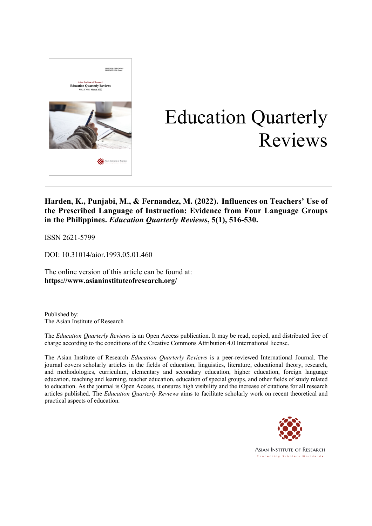

# Education Quarterly Reviews

**Harden, K., Punjabi, M., & Fernandez, M. (2022). Influences on Teachers' Use of the Prescribed Language of Instruction: Evidence from Four Language Groups in the Philippines.** *Education Quarterly Reviews***, 5(1), 516-530.**

ISSN 2621-5799

DOI: 10.31014/aior.1993.05.01.460

The online version of this article can be found at: **https://www.asianinstituteofresearch.org/**

Published by: The Asian Institute of Research

The *Education Quarterly Reviews* is an Open Access publication. It may be read, copied, and distributed free of charge according to the conditions of the Creative Commons Attribution 4.0 International license.

The Asian Institute of Research *Education Quarterly Reviews* is a peer-reviewed International Journal. The journal covers scholarly articles in the fields of education, linguistics, literature, educational theory, research, and methodologies, curriculum, elementary and secondary education, higher education, foreign language education, teaching and learning, teacher education, education of special groups, and other fields of study related to education. As the journal is Open Access, it ensures high visibility and the increase of citations for all research articles published. The *Education Quarterly Reviews* aims to facilitate scholarly work on recent theoretical and practical aspects of education.



**ASIAN INSTITUTE OF RESEARCH** Connecting Scholars Worldwide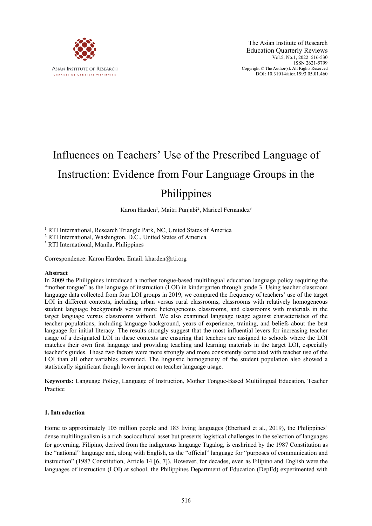

# Influences on Teachers' Use of the Prescribed Language of

# Instruction: Evidence from Four Language Groups in the Philippines

Karon Harden<sup>1</sup>, Maitri Punjabi<sup>2</sup>, Maricel Fernandez<sup>3</sup>

<sup>1</sup> RTI International, Research Triangle Park, NC, United States of America

<sup>2</sup> RTI International, Washington, D.C., United States of America

<sup>3</sup> RTI International, Manila, Philippines

Correspondence: Karon Harden. Email: kharden@rti.org

#### **Abstract**

In 2009 the Philippines introduced a mother tongue-based multilingual education language policy requiring the "mother tongue" as the language of instruction (LOI) in kindergarten through grade 3. Using teacher classroom language data collected from four LOI groups in 2019, we compared the frequency of teachers' use of the target LOI in different contexts, including urban versus rural classrooms, classrooms with relatively homogeneous student language backgrounds versus more heterogeneous classrooms, and classrooms with materials in the target language versus classrooms without. We also examined language usage against characteristics of the teacher populations, including language background, years of experience, training, and beliefs about the best language for initial literacy. The results strongly suggest that the most influential levers for increasing teacher usage of a designated LOI in these contexts are ensuring that teachers are assigned to schools where the LOI matches their own first language and providing teaching and learning materials in the target LOI, especially teacher's guides. These two factors were more strongly and more consistently correlated with teacher use of the LOI than all other variables examined. The linguistic homogeneity of the student population also showed a statistically significant though lower impact on teacher language usage.

**Keywords:** Language Policy, Language of Instruction, Mother Tongue-Based Multilingual Education, Teacher Practice

#### **1. Introduction**

Home to approximately 105 million people and 183 living languages (Eberhard et al., 2019), the Philippines' dense multilingualism is a rich sociocultural asset but presents logistical challenges in the selection of languages for governing. Filipino, derived from the indigenous language Tagalog, is enshrined by the 1987 Constitution as the "national" language and, along with English, as the "official" language for "purposes of communication and instruction" (1987 Constitution, Article 14 [6, 7]). However, for decades, even as Filipino and English were the languages of instruction (LOI) at school, the Philippines Department of Education (DepEd) experimented with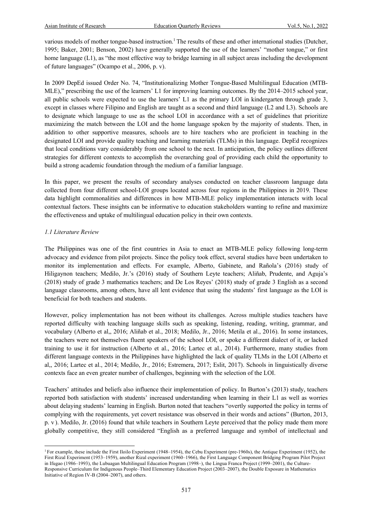various models of mother tongue-based instruction.<sup>1</sup> The results of these and other international studies (Dutcher, 1995; Baker, 2001; Benson, 2002) have generally supported the use of the learners' "mother tongue," or first home language (L1), as "the most effective way to bridge learning in all subject areas including the development of future languages" (Ocampo et al., 2006, p. v).

In 2009 DepEd issued Order No. 74, "Institutionalizing Mother Tongue-Based Multilingual Education (MTB-MLE)," prescribing the use of the learners' L1 for improving learning outcomes. By the 2014–2015 school year, all public schools were expected to use the learners' L1 as the primary LOI in kindergarten through grade 3, except in classes where Filipino and English are taught as a second and third language (L2 and L3). Schools are to designate which language to use as the school LOI in accordance with a set of guidelines that prioritize maximizing the match between the LOI and the home language spoken by the majority of students. Then, in addition to other supportive measures, schools are to hire teachers who are proficient in teaching in the designated LOI and provide quality teaching and learning materials (TLMs) in this language. DepEd recognizes that local conditions vary considerably from one school to the next. In anticipation, the policy outlines different strategies for different contexts to accomplish the overarching goal of providing each child the opportunity to build a strong academic foundation through the medium of a familiar language.

In this paper, we present the results of secondary analyses conducted on teacher classroom language data collected from four different school-LOI groups located across four regions in the Philippines in 2019. These data highlight commonalities and differences in how MTB-MLE policy implementation interacts with local contextual factors. These insights can be informative to education stakeholders wanting to refine and maximize the effectiveness and uptake of multilingual education policy in their own contexts.

# *1.1 Literature Review*

The Philippines was one of the first countries in Asia to enact an MTB-MLE policy following long-term advocacy and evidence from pilot projects. Since the policy took effect, several studies have been undertaken to monitor its implementation and effects. For example, Alberto, Gabinete, and Rañola's (2016) study of Hiligaynon teachers; Medilo, Jr.'s (2016) study of Southern Leyte teachers; Aliñab, Prudente, and Aguja's (2018) study of grade 3 mathematics teachers; and De Los Reyes' (2018) study of grade 3 English as a second language classrooms, among others, have all lent evidence that using the students' first language as the LOI is beneficial for both teachers and students.

However, policy implementation has not been without its challenges. Across multiple studies teachers have reported difficulty with teaching language skills such as speaking, listening, reading, writing, grammar, and vocabulary (Alberto et al,, 2016; Aliñab et al., 2018; Medilo, Jr., 2016; Metila et al., 2016). In some instances, the teachers were not themselves fluent speakers of the school LOI, or spoke a different dialect of it, or lacked training to use it for instruction (Alberto et al., 2016; Lartec et al., 2014). Furthermore, many studies from different language contexts in the Philippines have highlighted the lack of quality TLMs in the LOI (Alberto et al,, 2016; Lartec et al., 2014; Medilo, Jr., 2016; Estremera, 2017; Eslit, 2017). Schools in linguistically diverse contexts face an even greater number of challenges, beginning with the selection of the LOI.

Teachers' attitudes and beliefs also influence their implementation of policy. In Burton's (2013) study, teachers reported both satisfaction with students' increased understanding when learning in their L1 as well as worries about delaying students' learning in English. Burton noted that teachers "overtly supported the policy in terms of complying with the requirements, yet covert resistance was observed in their words and actions" (Burton, 2013, p. v ). Medilo, Jr. (2016) found that while teachers in Southern Leyte perceived that the policy made them more globally competitive, they still considered "English as a preferred language and symbol of intellectual and

<sup>1</sup> For example, these include the First Iloilo Experiment (1948–1954), the Cebu Experiment (pre-1960s), the Antique Experiment (1952), the First Rizal Experiment (1953–1959), another Rizal experiment (1960–1966), the First Language Component Bridging Program Pilot Project in Ifugao (1986–1993), the Lubuagan Multilingual Education Program (1998–), the Lingua Franca Project (1999–2001), the Culture-Responsive Curriculum for Indigenous People–Third Elementary Education Project (2003–2007), the Double Exposure in Mathematics Initiative of Region IV-B (2004–2007), and others.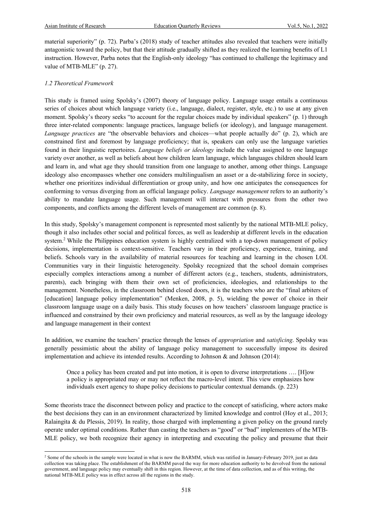material superiority" (p. 72). Parba's (2018) study of teacher attitudes also revealed that teachers were initially antagonistic toward the policy, but that their attitude gradually shifted as they realized the learning benefits of L1 instruction. However, Parba notes that the English-only ideology "has continued to challenge the legitimacy and value of MTB-MLE" (p. 27).

### *1.2 Theoretical Framework*

This study is framed using Spolsky's (2007) theory of language policy. Language usage entails a continuous series of choices about which language variety (i.e., language, dialect, register, style, etc.) to use at any given moment. Spolsky's theory seeks "to account for the regular choices made by individual speakers" (p. 1) through three inter-related components: language practices, language beliefs (or ideology), and language management. *Language practices* are "the observable behaviors and choices—what people actually do" (p. 2), which are constrained first and foremost by language proficiency; that is, speakers can only use the language varieties found in their linguistic repertoires. *Language beliefs or ideology* include the value assigned to one language variety over another, as well as beliefs about how children learn language, which languages children should learn and learn in, and what age they should transition from one language to another, among other things. Language ideology also encompasses whether one considers multilingualism an asset or a de-stabilizing force in society, whether one prioritizes individual differentiation or group unity, and how one anticipates the consequences for conforming to versus diverging from an official language policy. *Language management* refers to an authority's ability to mandate language usage. Such management will interact with pressures from the other two components, and conflicts among the different levels of management are common (p. 8).

In this study, Spolsky's management component is represented most saliently by the national MTB-MLE policy, though it also includes other social and political forces, as well as leadership at different levels in the education system.<sup>2</sup> While the Philippines education system is highly centralized with a top-down management of policy decisions, implementation is context-sensitive. Teachers vary in their proficiency, experience, training, and beliefs. Schools vary in the availability of material resources for teaching and learning in the chosen LOI. Communities vary in their linguistic heterogeneity. Spolsky recognized that the school domain comprises especially complex interactions among a number of different actors (e.g., teachers, students, administrators, parents), each bringing with them their own set of proficiencies, ideologies, and relationships to the management. Nonetheless, in the classroom behind closed doors, it is the teachers who are the "final arbiters of [education] language policy implementation" (Menken, 2008, p. 5), wielding the power of choice in their classroom language usage on a daily basis. This study focuses on how teachers' classroom language practice is influenced and constrained by their own proficiency and material resources, as well as by the language ideology and language management in their context

In addition, we examine the teachers' practice through the lenses of *appropriation* and *satisficing*. Spolsky was generally pessimistic about the ability of language policy management to successfully impose its desired implementation and achieve its intended results. According to Johnson  $\&$  and Johnson (2014):

Once a policy has been created and put into motion, it is open to diverse interpretations …. [H]ow a policy is appropriated may or may not reflect the macro-level intent. This view emphasizes how individuals exert agency to shape policy decisions to particular contextual demands. (p. 223)

Some theorists trace the disconnect between policy and practice to the concept of satisficing, where actors make the best decisions they can in an environment characterized by limited knowledge and control (Hoy et al., 2013; Ralaingita & du Plessis, 2019). In reality, those charged with implementing a given policy on the ground rarely operate under optimal conditions. Rather than casting the teachers as "good" or "bad" implementers of the MTB-MLE policy, we both recognize their agency in interpreting and executing the policy and presume that their

<sup>&</sup>lt;sup>2</sup> Some of the schools in the sample were located in what is now the BARMM, which was ratified in January-February 2019, just as data collection was taking place. The establishment of the BARMM paved the way for more education authority to be devolved from the national government, and language policy may eventually shift in this region. However, at the time of data collection, and as of this writing, the national MTB-MLE policy was in effect across all the regions in the study.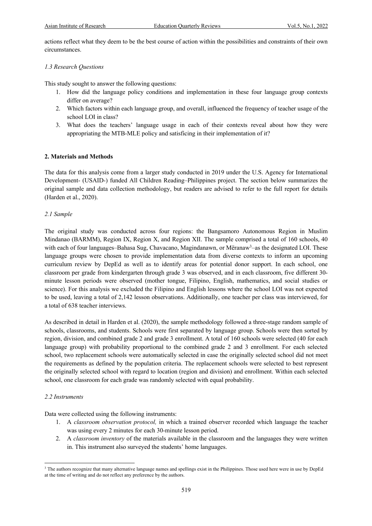actions reflect what they deem to be the best course of action within the possibilities and constraints of their own circumstances.

# *1.3 Research Questions*

This study sought to answer the following questions:

- 1. How did the language policy conditions and implementation in these four language group contexts differ on average?
- 2. Which factors within each language group, and overall, influenced the frequency of teacher usage of the school LOI in class?
- 3. What does the teachers' language usage in each of their contexts reveal about how they were appropriating the MTB-MLE policy and satisficing in their implementation of it?

# **2. Materials and Methods**

The data for this analysis come from a larger study conducted in 2019 under the U.S. Agency for International Development- (USAID-) funded All Children Reading–Philippines project. The section below summarizes the original sample and data collection methodology, but readers are advised to refer to the full report for details (Harden et al., 2020).

# *2.1 Sample*

The original study was conducted across four regions: the Bangsamoro Autonomous Region in Muslim Mindanao (BARMM), Region IX, Region X, and Region XII. The sample comprised a total of 160 schools, 40 with each of four languages-Bahasa Sug, Chavacano, Magindanawn, or Mëranaw<sup>3</sup>-as the designated LOI. These language groups were chosen to provide implementation data from diverse contexts to inform an upcoming curriculum review by DepEd as well as to identify areas for potential donor support. In each school, one classroom per grade from kindergarten through grade 3 was observed, and in each classroom, five different 30 minute lesson periods were observed (mother tongue, Filipino, English, mathematics, and social studies or science). For this analysis we excluded the Filipino and English lessons where the school LOI was not expected to be used, leaving a total of 2,142 lesson observations. Additionally, one teacher per class was interviewed, for a total of 638 teacher interviews.

As described in detail in Harden et al. (2020), the sample methodology followed a three-stage random sample of schools, classrooms, and students. Schools were first separated by language group. Schools were then sorted by region, division, and combined grade 2 and grade 3 enrollment. A total of 160 schools were selected (40 for each language group) with probability proportional to the combined grade 2 and 3 enrollment. For each selected school, two replacement schools were automatically selected in case the originally selected school did not meet the requirements as defined by the population criteria. The replacement schools were selected to best represent the originally selected school with regard to location (region and division) and enrollment. Within each selected school, one classroom for each grade was randomly selected with equal probability.

# *2.2 Instruments*

Data were collected using the following instruments:

- 1. A *classroom observation protocol,* in which a trained observer recorded which language the teacher was using every 2 minutes for each 30-minute lesson period.
- 2. A *classroom inventory* of the materials available in the classroom and the languages they were written in. This instrument also surveyed the students' home languages.

<sup>&</sup>lt;sup>3</sup> The authors recognize that many alternative language names and spellings exist in the Philippines. Those used here were in use by DepEd at the time of writing and do not reflect any preference by the authors.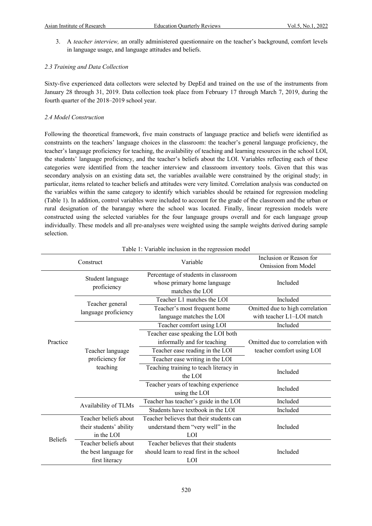3. A *teacher interview,* an orally administered questionnaire on the teacher's background, comfort levels in language usage, and language attitudes and beliefs.

### *2.3 Training and Data Collection*

Sixty-five experienced data collectors were selected by DepEd and trained on the use of the instruments from January 28 through 31, 2019. Data collection took place from February 17 through March 7, 2019, during the fourth quarter of the 2018–2019 school year.

### *2.4 Model Construction*

Following the theoretical framework, five main constructs of language practice and beliefs were identified as constraints on the teachers' language choices in the classroom: the teacher's general language proficiency, the teacher's language proficiency for teaching, the availability of teaching and learning resources in the school LOI, the students' language proficiency, and the teacher's beliefs about the LOI. Variables reflecting each of these categories were identified from the teacher interview and classroom inventory tools. Given that this was secondary analysis on an existing data set, the variables available were constrained by the original study; in particular, items related to teacher beliefs and attitudes were very limited. Correlation analysis was conducted on the variables within the same category to identify which variables should be retained for regression modeling (Table 1). In addition, control variables were included to account for the grade of the classroom and the urban or rural designation of the barangay where the school was located. Finally, linear regression models were constructed using the selected variables for the four language groups overall and for each language group individually. These models and all pre-analyses were weighted using the sample weights derived during sample selection.

| Construct      |                                         | Variable                                                                              | Inclusion or Reason for<br>Omission from Model               |  |
|----------------|-----------------------------------------|---------------------------------------------------------------------------------------|--------------------------------------------------------------|--|
|                | Student language<br>proficiency         | Percentage of students in classroom<br>whose primary home language<br>matches the LOI | Included                                                     |  |
|                |                                         | Teacher L1 matches the LOI                                                            | Included                                                     |  |
|                | Teacher general<br>language proficiency | Teacher's most frequent home<br>language matches the LOI                              | Omitted due to high correlation<br>with teacher L1-LOI match |  |
|                |                                         | Teacher comfort using LOI                                                             | Included                                                     |  |
|                |                                         | Teacher ease speaking the LOI both                                                    |                                                              |  |
| Practice       |                                         | informally and for teaching                                                           | Omitted due to correlation with                              |  |
|                | Teacher language                        | Teacher ease reading in the LOI                                                       | teacher comfort using LOI                                    |  |
|                | proficiency for                         | Teacher ease writing in the LOI                                                       |                                                              |  |
|                | teaching                                | Teaching training to teach literacy in                                                | Included                                                     |  |
|                |                                         | the LOI                                                                               |                                                              |  |
|                |                                         | Teacher years of teaching experience<br>using the LOI                                 | Included                                                     |  |
|                | Availability of TLMs                    | Teacher has teacher's guide in the LOI                                                | Included                                                     |  |
|                |                                         | Students have textbook in the LOI                                                     | Included                                                     |  |
|                | Teacher beliefs about                   | Teacher believes that their students can                                              |                                                              |  |
| <b>Beliefs</b> | their students' ability                 | understand them "very well" in the                                                    | Included                                                     |  |
|                | in the LOI                              | LOI                                                                                   |                                                              |  |
|                | Teacher beliefs about                   | Teacher believes that their students                                                  |                                                              |  |
|                | the best language for                   | should learn to read first in the school                                              | Included                                                     |  |
|                | first literacy                          | LOI                                                                                   |                                                              |  |

#### Table 1: Variable inclusion in the regression model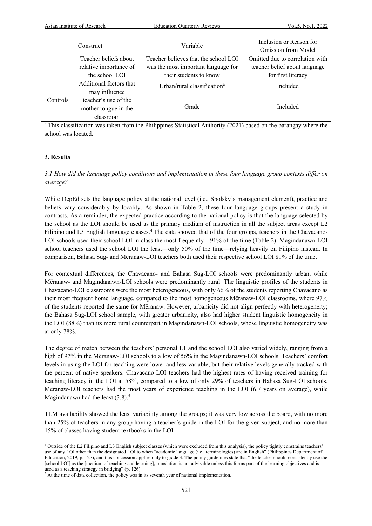| Construct |                                                           | Variable                                | Inclusion or Reason for<br>Omission from Model |  |
|-----------|-----------------------------------------------------------|-----------------------------------------|------------------------------------------------|--|
|           | Teacher beliefs about                                     | Teacher believes that the school LOI    | Omitted due to correlation with                |  |
|           | relative importance of                                    | was the most important language for     | teacher belief about language                  |  |
|           | the school LOI                                            | their students to know                  | for first literacy                             |  |
|           | Additional factors that<br>may influence                  | Urban/rural classification <sup>a</sup> | Included                                       |  |
| Controls  | teacher's use of the<br>mother tongue in the<br>classroom | Grade                                   | Included                                       |  |

<sup>a</sup> This classification was taken from the Philippines Statistical Authority (2021) based on the barangay where the school was located.

#### **3. Results**

*3.1 How did the language policy conditions and implementation in these four language group contexts differ on average?* 

While DepEd sets the language policy at the national level (i.e., Spolsky's management element), practice and beliefs vary considerably by locality. As shown in Table 2, these four language groups present a study in contrasts. As a reminder, the expected practice according to the national policy is that the language selected by the school as the LOI should be used as the primary medium of instruction in all the subject areas except L2 Filipino and L3 English language classes.<sup>4</sup> The data showed that of the four groups, teachers in the Chavacano-LOI schools used their school LOI in class the most frequently—91% of the time (Table 2). Magindanawn-LOI school teachers used the school LOI the least—only 50% of the time—relying heavily on Filipino instead. In comparison, Bahasa Sug- and Mëranaw-LOI teachers both used their respective school LOI 81% of the time.

For contextual differences, the Chavacano- and Bahasa Sug-LOI schools were predominantly urban, while Mëranaw- and Magindanawn-LOI schools were predominantly rural. The linguistic profiles of the students in Chavacano-LOI classrooms were the most heterogeneous, with only 66% of the students reporting Chavacano as their most frequent home language, compared to the most homogeneous Mëranaw-LOI classrooms, where 97% of the students reported the same for Mëranaw. However, urbanicity did not align perfectly with heterogeneity; the Bahasa Sug-LOI school sample, with greater urbanicity, also had higher student linguistic homogeneity in the LOI (88%) than its more rural counterpart in Magindanawn-LOI schools, whose linguistic homogeneity was at only 78%.

The degree of match between the teachers' personal L1 and the school LOI also varied widely, ranging from a high of 97% in the Mëranaw-LOI schools to a low of 56% in the Magindanawn-LOI schools. Teachers' comfort levels in using the LOI for teaching were lower and less variable, but their relative levels generally tracked with the percent of native speakers. Chavacano-LOI teachers had the highest rates of having received training for teaching literacy in the LOI at 58%, compared to a low of only 29% of teachers in Bahasa Sug-LOI schools. Mëranaw-LOI teachers had the most years of experience teaching in the LOI (6.7 years on average), while Magindanawn had the least  $(3.8)$ .<sup>5</sup>

TLM availability showed the least variability among the groups; it was very low across the board, with no more than 25% of teachers in any group having a teacher's guide in the LOI for the given subject, and no more than 15% of classes having student textbooks in the LOI.

<sup>4</sup> Outside of the L2 Filipino and L3 English subject classes (which were excluded from this analysis), the policy tightly constrains teachers' use of any LOI other than the designated LOI to when "academic language (i.e., terminologies) are in English" (Philippines Department of Education, 2019, p. 127), and this concession applies only to grade 3. The policy guidelines state that "the teacher should consistently use the [school LOI] as the [medium of teaching and learning]; translation is not advisable unless this forms part of the learning objectives and is used as a teaching strategy in bridging" (p. 126).

<sup>&</sup>lt;sup>5</sup> At the time of data collection, the policy was in its seventh year of national implementation.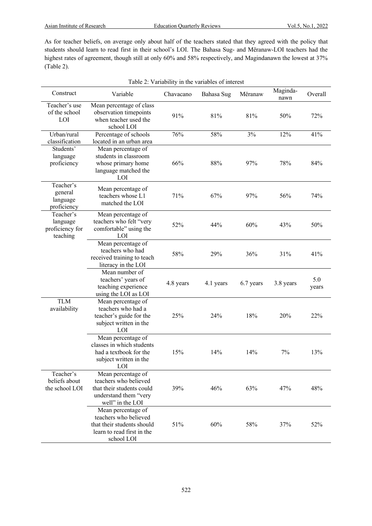As for teacher beliefs, on average only about half of the teachers stated that they agreed with the policy that students should learn to read first in their school's LOI. The Bahasa Sug- and Mëranaw-LOI teachers had the highest rates of agreement, though still at only 60% and 58% respectively, and Magindanawn the lowest at 37% (Table 2).

| Table 2: Variability in the variables of interest    |                                                                                                                              |           |            |           |                  |              |
|------------------------------------------------------|------------------------------------------------------------------------------------------------------------------------------|-----------|------------|-----------|------------------|--------------|
| Construct                                            | Variable                                                                                                                     | Chavacano | Bahasa Sug | Mëranaw   | Maginda-<br>nawn | Overall      |
| Teacher's use<br>of the school<br>LOI                | Mean percentage of class<br>observation timepoints<br>when teacher used the<br>school LOI                                    | 91%       | 81%        | 81%       | 50%              | 72%          |
| Urban/rural<br>classification                        | Percentage of schools                                                                                                        | 76%       | 58%        | 3%        | 12%              | 41%          |
| Students'<br>language<br>proficiency                 | located in an urban area<br>Mean percentage of<br>students in classroom<br>whose primary home<br>language matched the<br>LOI | 66%       | 88%        | 97%       | 78%              | 84%          |
| Teacher's<br>general<br>language<br>proficiency      | Mean percentage of<br>teachers whose L1<br>matched the LOI                                                                   | 71%       | 67%        | 97%       | 56%              | 74%          |
| Teacher's<br>language<br>proficiency for<br>teaching | Mean percentage of<br>teachers who felt "very<br>comfortable" using the<br>LOI                                               | 52%       | 44%        | 60%       | 43%              | 50%          |
|                                                      | Mean percentage of<br>teachers who had<br>received training to teach<br>literacy in the LOI                                  | 58%       | 29%        | 36%       | 31%              | 41%          |
|                                                      | Mean number of<br>teachers' years of<br>teaching experience<br>using the LOI as LOI                                          | 4.8 years | 4.1 years  | 6.7 years | 3.8 years        | 5.0<br>years |
| <b>TLM</b><br>availability                           | Mean percentage of<br>teachers who had a<br>teacher's guide for the<br>subject written in the<br>LOI                         | 25%       | 24%        | 18%       | 20%              | 22%          |
|                                                      | Mean percentage of<br>classes in which students<br>had a textbook for the<br>subject written in the<br><b>LOI</b>            | 15%       | 14%        | 14%       | 7%               | 13%          |
| Teacher's<br>beliefs about<br>the school LOI         | Mean percentage of<br>teachers who believed<br>that their students could<br>understand them "very<br>well" in the LOI        | 39%       | 46%        | 63%       | 47%              | 48%          |
|                                                      | Mean percentage of<br>teachers who believed<br>that their students should<br>learn to read first in the<br>school LOI        | 51%       | 60%        | 58%       | 37%              | 52%          |

522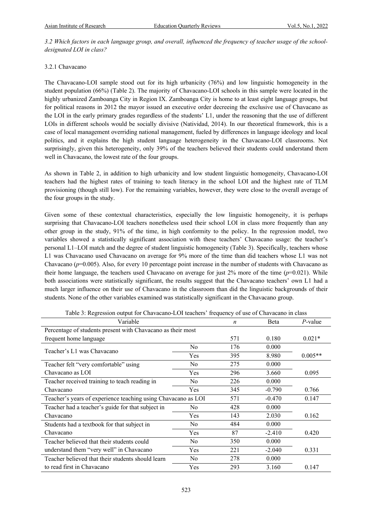*3.2 Which factors in each language group, and overall, influenced the frequency of teacher usage of the schooldesignated LOI in class?*

### 3.2.1 Chavacano

The Chavacano-LOI sample stood out for its high urbanicity (76%) and low linguistic homogeneity in the student population (66%) (Table 2). The majority of Chavacano-LOI schools in this sample were located in the highly urbanized Zamboanga City in Region IX. Zamboanga City is home to at least eight language groups, but for political reasons in 2012 the mayor issued an executive order decreeing the exclusive use of Chavacano as the LOI in the early primary grades regardless of the students' L1, under the reasoning that the use of different LOIs in different schools would be socially divisive (Natividad, 2014). In our theoretical framework, this is a case of local management overriding national management, fueled by differences in language ideology and local politics, and it explains the high student language heterogeneity in the Chavacano-LOI classrooms. Not surprisingly, given this heterogeneity, only 39% of the teachers believed their students could understand them well in Chavacano, the lowest rate of the four groups.

As shown in Table 2, in addition to high urbanicity and low student linguistic homogeneity, Chavacano-LOI teachers had the highest rates of training to teach literacy in the school LOI and the highest rate of TLM provisioning (though still low). For the remaining variables, however, they were close to the overall average of the four groups in the study.

Given some of these contextual characteristics, especially the low linguistic homogeneity, it is perhaps surprising that Chavacano-LOI teachers nonetheless used their school LOI in class more frequently than any other group in the study, 91% of the time, in high conformity to the policy. In the regression model, two variables showed a statistically significant association with these teachers' Chavacano usage: the teacher's personal L1–LOI match and the degree of student linguistic homogeneity (Table 3). Specifically, teachers whose L1 was Chavacano used Chavacano on average for 9% more of the time than did teachers whose L1 was not Chavacano (*p*=0.005). Also, for every 10 percentage point increase in the number of students with Chavacano as their home language, the teachers used Chavacano on average for just  $2\%$  more of the time ( $p=0.021$ ). While both associations were statistically significant, the results suggest that the Chavacano teachers' own L1 had a much larger influence on their use of Chavacano in the classroom than did the linguistic backgrounds of their students. None of the other variables examined was statistically significant in the Chavacano group.

| Tuble 5: Regression building tor Chavaland LOT teachers "Hequency of ase of Chavacano in chass |                |     |          |            |  |
|------------------------------------------------------------------------------------------------|----------------|-----|----------|------------|--|
| Variable                                                                                       |                | n   | Beta     | $P$ -value |  |
| Percentage of students present with Chavacano as their most                                    |                |     |          |            |  |
| frequent home language                                                                         |                | 571 | 0.180    | $0.021*$   |  |
| Teacher's L1 was Chavacano                                                                     | N <sub>o</sub> | 176 | 0.000    |            |  |
|                                                                                                | Yes            | 395 | 8.980    | $0.005**$  |  |
| Teacher felt "very comfortable" using                                                          | No.            | 275 | 0.000    |            |  |
| Chavacano as LOI                                                                               | Yes            | 296 | 3.660    | 0.095      |  |
| Teacher received training to teach reading in                                                  | N <sub>o</sub> | 226 | 0.000    |            |  |
| Chavacano                                                                                      | Yes            | 345 | $-0.790$ | 0.766      |  |
| Teacher's years of experience teaching using Chavacano as LOI                                  |                | 571 | $-0.470$ | 0.147      |  |
| Teacher had a teacher's guide for that subject in                                              | No.            | 428 | 0.000    |            |  |
| Chavacano                                                                                      | Yes            | 143 | 2.030    | 0.162      |  |
| Students had a textbook for that subject in                                                    | No.            | 484 | 0.000    |            |  |
| Chavacano                                                                                      | Yes            | 87  | $-2.410$ | 0.420      |  |
| Teacher believed that their students could                                                     | N <sub>o</sub> | 350 | 0.000    |            |  |
| understand them "very well" in Chavacano                                                       | Yes            | 221 | $-2.040$ | 0.331      |  |
| Teacher believed that their students should learn                                              | No.            | 278 | 0.000    |            |  |
| to read first in Chavacano                                                                     | Yes            | 293 | 3.160    | 0.147      |  |

Table 3: Regression output for Chavacano-LOI teachers' frequency of use of Chavacano in class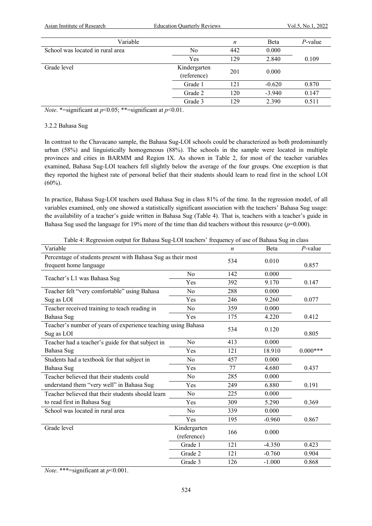| Variable                         |                             | $\boldsymbol{n}$ | Beta     | $P$ -value |
|----------------------------------|-----------------------------|------------------|----------|------------|
| School was located in rural area | No                          | 442              | 0.000    |            |
|                                  | Yes                         | 129              | 2.840    | 0.109      |
| Grade level                      | Kindergarten<br>(reference) | 201              | 0.000    |            |
|                                  | Grade 1                     | 121              | $-0.620$ | 0.870      |
|                                  | Grade 2                     | 120              | $-3.940$ | 0.147      |
|                                  | Grade 3                     | 129              | 2.390    | 0.511      |

*Note*. \*=significant at  $p<0.05$ ; \*\*=significant at  $p<0.01$ .

#### 3.2.2 Bahasa Sug

In contrast to the Chavacano sample, the Bahasa Sug-LOI schools could be characterized as both predominantly urban (58%) and linguistically homogeneous (88%). The schools in the sample were located in multiple provinces and cities in BARMM and Region IX. As shown in Table 2, for most of the teacher variables examined, Bahasa Sug-LOI teachers fell slightly below the average of the four groups. One exception is that they reported the highest rate of personal belief that their students should learn to read first in the school LOI  $(60\%)$ .

In practice, Bahasa Sug-LOI teachers used Bahasa Sug in class 81% of the time. In the regression model, of all variables examined, only one showed a statistically significant association with the teachers' Bahasa Sug usage: the availability of a teacher's guide written in Bahasa Sug (Table 4). That is, teachers with a teacher's guide in Bahasa Sug used the language for 19% more of the time than did teachers without this resource  $(p=0.000)$ .

| acre 1: regression carpat for Banasa Sag<br>Variable                                   |                             | n   | Beta     | $P$ -value |
|----------------------------------------------------------------------------------------|-----------------------------|-----|----------|------------|
| Percentage of students present with Bahasa Sug as their most<br>frequent home language |                             | 534 | 0.010    | 0.857      |
| Teacher's L1 was Bahasa Sug                                                            | No                          | 142 | 0.000    |            |
|                                                                                        | Yes                         | 392 | 9.170    | 0.147      |
| Teacher felt "very comfortable" using Bahasa                                           | No                          | 288 | 0.000    |            |
| Sug as LOI                                                                             | Yes                         | 246 | 9.260    | 0.077      |
| Teacher received training to teach reading in                                          | No                          | 359 | 0.000    |            |
| Bahasa Sug                                                                             | Yes                         | 175 | 4.220    | 0.412      |
| Teacher's number of years of experience teaching using Bahasa<br>Sug as LOI            |                             | 534 | 0.120    | 0.805      |
| Teacher had a teacher's guide for that subject in                                      | No                          | 413 | 0.000    |            |
| Bahasa Sug                                                                             | Yes                         | 121 | 18.910   | $0.000***$ |
| Students had a textbook for that subject in                                            | No                          | 457 | 0.000    |            |
| Bahasa Sug                                                                             | Yes                         | 77  | 4.680    | 0.437      |
| Teacher believed that their students could                                             | No                          | 285 | 0.000    |            |
| understand them "very well" in Bahasa Sug                                              | Yes                         | 249 | 6.880    | 0.191      |
| Teacher believed that their students should learn                                      | No                          | 225 | 0.000    |            |
| to read first in Bahasa Sug                                                            | Yes                         | 309 | 5.290    | 0.369      |
| School was located in rural area                                                       | No                          | 339 | 0.000    |            |
|                                                                                        | Yes                         | 195 | $-0.960$ | 0.867      |
| Grade level                                                                            | Kindergarten<br>(reference) | 166 | 0.000    |            |
|                                                                                        | Grade 1                     | 121 | $-4.350$ | 0.423      |
|                                                                                        | Grade 2                     | 121 | $-0.760$ | 0.904      |
|                                                                                        | Grade 3                     | 126 | $-1.000$ | 0.868      |

Table 4: Regression output for Bahasa Sug-LOI teachers' frequency of use of Bahasa Sug in class

*Note*. \*\*\*=significant at *p*<0.001.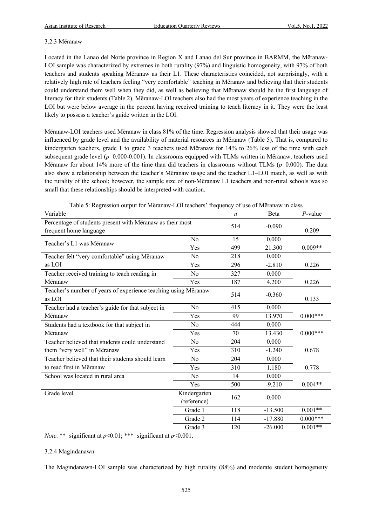### 3.2.3 Mëranaw

Located in the Lanao del Norte province in Region X and Lanao del Sur province in BARMM, the Mëranaw-LOI sample was characterized by extremes in both rurality (97%) and linguistic homogeneity, with 97% of both teachers and students speaking Mëranaw as their L1. These characteristics coincided, not surprisingly, with a relatively high rate of teachers feeling "very comfortable" teaching in Mëranaw and believing that their students could understand them well when they did, as well as believing that Mëranaw should be the first language of literacy for their students (Table 2). Mëranaw-LOI teachers also had the most years of experience teaching in the LOI but were below average in the percent having received training to teach literacy in it. They were the least likely to possess a teacher's guide written in the LOI.

Mëranaw-LOI teachers used Mëranaw in class 81% of the time. Regression analysis showed that their usage was influenced by grade level and the availability of material resources in Mëranaw (Table 5). That is, compared to kindergarten teachers, grade 1 to grade 3 teachers used Mëranaw for 14% to 26% less of the time with each subsequent grade level ( $p=0.000-0.001$ ). In classrooms equipped with TLMs written in Mëranaw, teachers used Mëranaw for about 14% more of the time than did teachers in classrooms without TLMs (*p*=0.000). The data also show a relationship between the teacher's Mëranaw usage and the teacher L1–LOI match, as well as with the rurality of the school; however, the sample size of non-Mëranaw L1 teachers and non-rural schools was so small that these relationships should be interpreted with caution.

| Variable                                                                            |                             | n   | Beta      | $P$ -value |
|-------------------------------------------------------------------------------------|-----------------------------|-----|-----------|------------|
| Percentage of students present with Mëranaw as their most<br>frequent home language |                             | 514 | $-0.090$  | 0.209      |
| Teacher's L1 was Mëranaw                                                            | No                          | 15  | 0.000     |            |
|                                                                                     | Yes                         | 499 | 21.300    | $0.009**$  |
| Teacher felt "very comfortable" using Mëranaw                                       | N <sub>o</sub>              | 218 | 0.000     |            |
| as LOI                                                                              | Yes                         | 296 | $-2.810$  | 0.226      |
| Teacher received training to teach reading in                                       | No                          | 327 | 0.000     |            |
| Mëranaw                                                                             | Yes                         | 187 | 4.200     | 0.226      |
| Teacher's number of years of experience teaching using Mëranaw<br>as LOI            |                             | 514 | $-0.360$  | 0.133      |
| Teacher had a teacher's guide for that subject in                                   | N <sub>o</sub>              | 415 | 0.000     |            |
| Mëranaw                                                                             | Yes                         | 99  | 13.970    | $0.000***$ |
| Students had a textbook for that subject in                                         | N <sub>o</sub>              | 444 | 0.000     |            |
| Mëranaw                                                                             | Yes                         | 70  | 13.430    | $0.000***$ |
| Teacher believed that students could understand                                     | No                          | 204 | 0.000     |            |
| them "very well" in Mëranaw                                                         | Yes                         | 310 | $-1.240$  | 0.678      |
| Teacher believed that their students should learn                                   | N <sub>o</sub>              | 204 | 0.000     |            |
| to read first in Mëranaw                                                            | Yes                         | 310 | 1.180     | 0.778      |
| School was located in rural area                                                    | N <sub>o</sub>              | 14  | 0.000     |            |
|                                                                                     | Yes                         | 500 | $-9.210$  | $0.004**$  |
| Grade level                                                                         | Kindergarten<br>(reference) | 162 | 0.000     |            |
|                                                                                     | Grade 1                     | 118 | $-13.500$ | $0.001**$  |
|                                                                                     | Grade 2                     | 114 | $-17.880$ | $0.000***$ |
|                                                                                     | Grade 3                     | 120 | $-26.000$ | $0.001**$  |

Table 5: Regression output for Mëranaw-LOI teachers' frequency of use of Mëranaw in class

*Note*. \*\*=significant at *p*<0.01; \*\*\*=significant at *p*<0.001.

# 3.2.4 Magindanawn

The Magindanawn-LOI sample was characterized by high rurality (88%) and moderate student homogeneity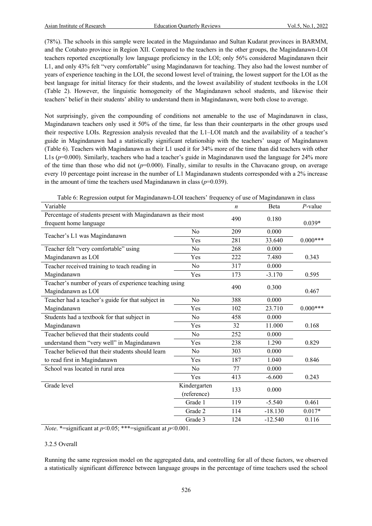(78%). The schools in this sample were located in the Maguindanao and Sultan Kudarat provinces in BARMM, and the Cotabato province in Region XII. Compared to the teachers in the other groups, the Magindanawn-LOI teachers reported exceptionally low language proficiency in the LOI; only 56% considered Magindanawn their L1, and only 43% felt "very comfortable" using Magindanawn for teaching. They also had the lowest number of years of experience teaching in the LOI, the second lowest level of training, the lowest support for the LOI as the best language for initial literacy for their students, and the lowest availability of student textbooks in the LOI (Table 2). However, the linguistic homogeneity of the Magindanawn school students, and likewise their teachers' belief in their students' ability to understand them in Magindanawn, were both close to average.

Not surprisingly, given the compounding of conditions not amenable to the use of Magindanawn in class, Magindanawn teachers only used it 50% of the time, far less than their counterparts in the other groups used their respective LOIs. Regression analysis revealed that the L1–LOI match and the availability of a teacher's guide in Magindanawn had a statistically significant relationship with the teachers' usage of Magindanawn (Table 6). Teachers with Magindanawn as their L1 used it for 34% more of the time than did teachers with other L1s ( $p=0.000$ ). Similarly, teachers who had a teacher's guide in Magindanawn used the language for 24% more of the time than those who did not (*p*=0.000). Finally, similar to results in the Chavacano group, on average every 10 percentage point increase in the number of L1 Magindanawn students corresponded with a 2% increase in the amount of time the teachers used Magindanawn in class  $(p=0.039)$ .

Table 6: Regression output for Magindanawn-LOI teachers' frequency of use of Magindanawn in class

| Variable                                                      |                | $\boldsymbol{n}$ | Beta      | $P$ -value |
|---------------------------------------------------------------|----------------|------------------|-----------|------------|
| Percentage of students present with Magindanawn as their most |                | 490              | 0.180     |            |
| frequent home language                                        |                |                  |           | $0.039*$   |
| Teacher's L1 was Magindanawn                                  | N <sub>o</sub> | 209              | 0.000     |            |
|                                                               | Yes            | 281              | 33.640    | $0.000***$ |
| Teacher felt "very comfortable" using                         | No             | 268              | 0.000     |            |
| Magindanawn as LOI                                            | Yes            | 222              | 7.480     | 0.343      |
| Teacher received training to teach reading in                 | No             | 317              | 0.000     |            |
| Magindanawn                                                   | Yes            | 173              | $-3.170$  | 0.595      |
| Teacher's number of years of experience teaching using        |                | 490              | 0.300     |            |
| Magindanawn as LOI                                            |                |                  |           | 0.467      |
| Teacher had a teacher's guide for that subject in             | N <sub>o</sub> | 388              | 0.000     |            |
| Magindanawn                                                   | Yes            | 102              | 23.710    | $0.000***$ |
| Students had a textbook for that subject in                   | No             | 458              | 0.000     |            |
| Magindanawn                                                   | Yes            | 32               | 11.000    | 0.168      |
| Teacher believed that their students could                    | No             | 252              | 0.000     |            |
| understand them "very well" in Magindanawn                    | Yes            | 238              | 1.290     | 0.829      |
| Teacher believed that their students should learn             | No             | 303              | 0.000     |            |
| to read first in Magindanawn                                  | Yes            | 187              | 1.040     | 0.846      |
| School was located in rural area                              | N <sub>o</sub> | 77               | 0.000     |            |
|                                                               | Yes            | 413              | $-6.600$  | 0.243      |
| Grade level                                                   | Kindergarten   | 133              | 0.000     |            |
|                                                               | (reference)    |                  |           |            |
|                                                               | Grade 1        | 119              | $-5.540$  | 0.461      |
|                                                               | Grade 2        | 114              | $-18.130$ | $0.017*$   |
|                                                               | Grade 3        | 124              | $-12.540$ | 0.116      |

*Note*. \*=significant at *p*<0.05; \*\*\*=significant at *p*<0.001.

#### 3.2.5 Overall

Running the same regression model on the aggregated data, and controlling for all of these factors, we observed a statistically significant difference between language groups in the percentage of time teachers used the school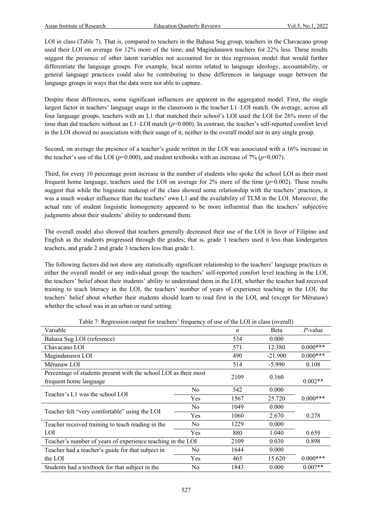LOI in class (Table 7). That is, compared to teachers in the Bahasa Sug group, teachers in the Chavacano group used their LOI on average for 12% more of the time, and Magindanawn teachers for 22% less. These results suggest the presence of other latent variables not accounted for in this regression model that would further differentiate the language groups. For example, local norms related to language ideology, accountability, or general language practices could also be contributing to these differences in language usage between the language groups in ways that the data were not able to capture.

Despite these differences, some significant influences are apparent in the aggregated model. First, the single largest factor in teachers' language usage in the classroom is the teacher L1–LOI match. On average, across all four language groups, teachers with an L1 that matched their school's LOI used the LOI for 26% more of the time than did teachers without an L1–LOI match ( $p=0.000$ ). In contrast, the teacher's self-reported comfort level in the LOI showed no association with their usage of it, neither in the overall model nor in any single group.

Second, on average the presence of a teacher's guide written in the LOI was associated with a 16% increase in the teacher's use of the LOI ( $p=0.000$ ), and student textbooks with an increase of 7% ( $p=0.007$ ).

Third, for every 10 percentage point increase in the number of students who spoke the school LOI as their most frequent home language, teachers used the LOI on average for 2% more of the time (*p*=0.002). These results suggest that while the linguistic makeup of the class showed some relationship with the teachers' practices, it was a much weaker influence than the teachers' own L1 and the availability of TLM in the LOI. Moreover, the actual rate of student linguistic homogeneity appeared to be more influential than the teachers' subjective judgments about their students' ability to understand them.

The overall model also showed that teachers generally decreased their use of the LOI in favor of Filipino and English as the students progressed through the grades; that is, grade 1 teachers used it less than kindergarten teachers, and grade 2 and grade 3 teachers less than grade 1.

The following factors did not show any statistically significant relationship to the teachers' language practices in either the overall model or any individual group: the teachers' self-reported comfort level teaching in the LOI, the teachers' belief about their students' ability to understand them in the LOI, whether the teacher had received training to teach literacy in the LOI, the teachers' number of years of experience teaching in the LOI, the teachers' belief about whether their students should learn to read first in the LOI, and (except for Mëranaw) whether the school was in an urban or rural setting.

| Variable                                                         |                | n    | <b>B</b> eta | $P$ -value |
|------------------------------------------------------------------|----------------|------|--------------|------------|
| Bahasa Sug LOI (reference)                                       |                | 534  | 0.000        |            |
| Chavacano LOI                                                    |                | 571  | 12.380       | $0.000***$ |
| Magindanawn LOI                                                  |                | 490  | $-21.900$    | $0.000***$ |
| Mëranaw LOI                                                      |                | 514  | $-5.990$     | 0.108      |
| Percentage of students present with the school LOI as their most |                | 2109 | 0.160        |            |
| frequent home language                                           |                |      |              | $0.002**$  |
| Teacher's L1 was the school LOI                                  | N <sub>o</sub> | 542  | 0.000        |            |
|                                                                  | Yes            | 1567 | 25.720       | $0.000***$ |
|                                                                  | N <sub>0</sub> | 1049 | 0.000        |            |
| Teacher felt "very comfortable" using the LOI                    | Yes            | 1060 | 2.670        | 0.278      |
| Teacher received training to teach reading in the                | N <sub>0</sub> | 1229 | 0.000        |            |
| LOI                                                              | Yes            | 880  | 1.040        | 0.659      |
| Teacher's number of years of experience teaching in the LOI      |                | 2109 | 0.030        | 0.898      |
| Teacher had a teacher's guide for that subject in                | N <sub>0</sub> | 1644 | 0.000        |            |
| the LOI                                                          | Yes            | 465  | 15.620       | $0.000***$ |
| Students had a textbook for that subject in the                  | N <sub>0</sub> | 1843 | 0.000        | $0.007**$  |

Table 7: Regression output for teachers' frequency of use of the LOI in class (overall)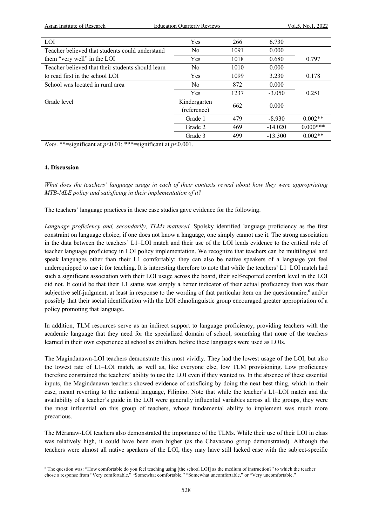Asian Institute of Research **Education Quarterly Reviews** Vol.5, No.1, 2022

| LOI                                               | Yes                         | 266  | 6.730     |            |
|---------------------------------------------------|-----------------------------|------|-----------|------------|
| Teacher believed that students could understand   | No                          | 1091 | 0.000     |            |
| them "very well" in the LOI                       | Yes                         | 1018 | 0.680     | 0.797      |
| Teacher believed that their students should learn | No                          | 1010 | 0.000     |            |
| to read first in the school LOI                   | Yes                         | 1099 | 3.230     | 0.178      |
| School was located in rural area                  | N <sub>0</sub>              | 872  | 0.000     |            |
|                                                   | Yes                         | 1237 | $-3.050$  | 0.251      |
| Grade level                                       | Kindergarten<br>(reference) | 662  | 0.000     |            |
|                                                   | Grade 1                     | 479  | $-8.930$  | $0.002**$  |
|                                                   | Grade 2                     | 469  | $-14.020$ | $0.000***$ |
|                                                   | Grade 3                     | 499  | $-13.300$ | $0.002**$  |

*Note*. \*\*=significant at *p*<0.01; \*\*\*=significant at *p*<0.001.

#### **4. Discussion**

*What does the teachers' language usage in each of their contexts reveal about how they were appropriating MTB-MLE policy and satisficing in their implementation of it?*

The teachers' language practices in these case studies gave evidence for the following.

*Language proficiency and, secondarily, TLMs mattered.* Spolsky identified language proficiency as the first constraint on language choice; if one does not know a language, one simply cannot use it. The strong association in the data between the teachers' L1–LOI match and their use of the LOI lends evidence to the critical role of teacher language proficiency in LOI policy implementation. We recognize that teachers can be multilingual and speak languages other than their L1 comfortably; they can also be native speakers of a language yet feel underequipped to use it for teaching. It is interesting therefore to note that while the teachers' L1–LOI match had such a significant association with their LOI usage across the board, their self-reported comfort level in the LOI did not. It could be that their L1 status was simply a better indicator of their actual proficiency than was their subjective self-judgment, at least in response to the wording of that particular item on the questionnaire,<sup>6</sup> and/or possibly that their social identification with the LOI ethnolinguistic group encouraged greater appropriation of a policy promoting that language.

In addition, TLM resources serve as an indirect support to language proficiency, providing teachers with the academic language that they need for the specialized domain of school, something that none of the teachers learned in their own experience at school as children, before these languages were used as LOIs.

The Magindanawn-LOI teachers demonstrate this most vividly. They had the lowest usage of the LOI, but also the lowest rate of L1–LOI match, as well as, like everyone else, low TLM provisioning. Low proficiency therefore constrained the teachers' ability to use the LOI even if they wanted to. In the absence of these essential inputs, the Magindanawn teachers showed evidence of satisficing by doing the next best thing, which in their case, meant reverting to the national language, Filipino. Note that while the teacher's L1–LOI match and the availability of a teacher's guide in the LOI were generally influential variables across all the groups, they were the most influential on this group of teachers, whose fundamental ability to implement was much more precarious.

The Mëranaw-LOI teachers also demonstrated the importance of the TLMs. While their use of their LOI in class was relatively high, it could have been even higher (as the Chavacano group demonstrated). Although the teachers were almost all native speakers of the LOI, they may have still lacked ease with the subject-specific

<sup>6</sup> The question was: "How comfortable do you feel teaching using [the school LOI] as the medium of instruction?" to which the teacher chose a response from "Very comfortable," "Somewhat comfortable," "Somewhat uncomfortable," or "Very uncomfortable."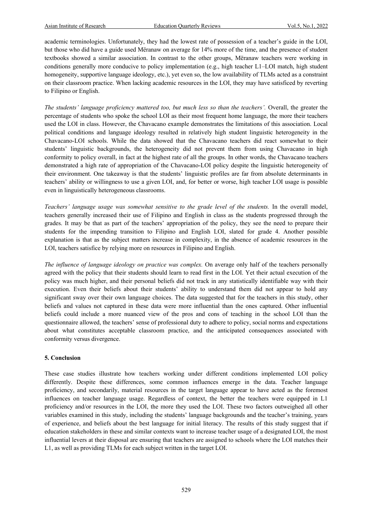academic terminologies. Unfortunately, they had the lowest rate of possession of a teacher's guide in the LOI, but those who did have a guide used Mëranaw on average for 14% more of the time, and the presence of student textbooks showed a similar association. In contrast to the other groups, Mëranaw teachers were working in conditions generally more conducive to policy implementation (e.g., high teacher L1–LOI match, high student homogeneity, supportive language ideology, etc.), yet even so, the low availability of TLMs acted as a constraint on their classroom practice. When lacking academic resources in the LOI, they may have satisficed by reverting to Filipino or English.

*The students' language proficiency mattered too, but much less so than the teachers'.* Overall, the greater the percentage of students who spoke the school LOI as their most frequent home language, the more their teachers used the LOI in class. However, the Chavacano example demonstrates the limitations of this association. Local political conditions and language ideology resulted in relatively high student linguistic heterogeneity in the Chavacano-LOI schools. While the data showed that the Chavacano teachers did react somewhat to their students' linguistic backgrounds, the heterogeneity did not prevent them from using Chavacano in high conformity to policy overall, in fact at the highest rate of all the groups. In other words, the Chavacano teachers demonstrated a high rate of appropriation of the Chavacano-LOI policy despite the linguistic heterogeneity of their environment. One takeaway is that the students' linguistic profiles are far from absolute determinants in teachers' ability or willingness to use a given LOI, and, for better or worse, high teacher LOI usage is possible even in linguistically heterogeneous classrooms.

*Teachers' language usage was somewhat sensitive to the grade level of the students.* In the overall model, teachers generally increased their use of Filipino and English in class as the students progressed through the grades. It may be that as part of the teachers' appropriation of the policy, they see the need to prepare their students for the impending transition to Filipino and English LOI, slated for grade 4. Another possible explanation is that as the subject matters increase in complexity, in the absence of academic resources in the LOI, teachers satisfice by relying more on resources in Filipino and English.

*The influence of language ideology on practice was complex.* On average only half of the teachers personally agreed with the policy that their students should learn to read first in the LOI. Yet their actual execution of the policy was much higher, and their personal beliefs did not track in any statistically identifiable way with their execution. Even their beliefs about their students' ability to understand them did not appear to hold any significant sway over their own language choices. The data suggested that for the teachers in this study, other beliefs and values not captured in these data were more influential than the ones captured. Other influential beliefs could include a more nuanced view of the pros and cons of teaching in the school LOI than the questionnaire allowed, the teachers' sense of professional duty to adhere to policy, social norms and expectations about what constitutes acceptable classroom practice, and the anticipated consequences associated with conformity versus divergence.

#### **5. Conclusion**

These case studies illustrate how teachers working under different conditions implemented LOI policy differently. Despite these differences, some common influences emerge in the data. Teacher language proficiency, and secondarily, material resources in the target language appear to have acted as the foremost influences on teacher language usage. Regardless of context, the better the teachers were equipped in L1 proficiency and/or resources in the LOI, the more they used the LOI. These two factors outweighed all other variables examined in this study, including the students' language backgrounds and the teacher's training, years of experience, and beliefs about the best language for initial literacy. The results of this study suggest that if education stakeholders in these and similar contexts want to increase teacher usage of a designated LOI, the most influential levers at their disposal are ensuring that teachers are assigned to schools where the LOI matches their L1, as well as providing TLMs for each subject written in the target LOI.